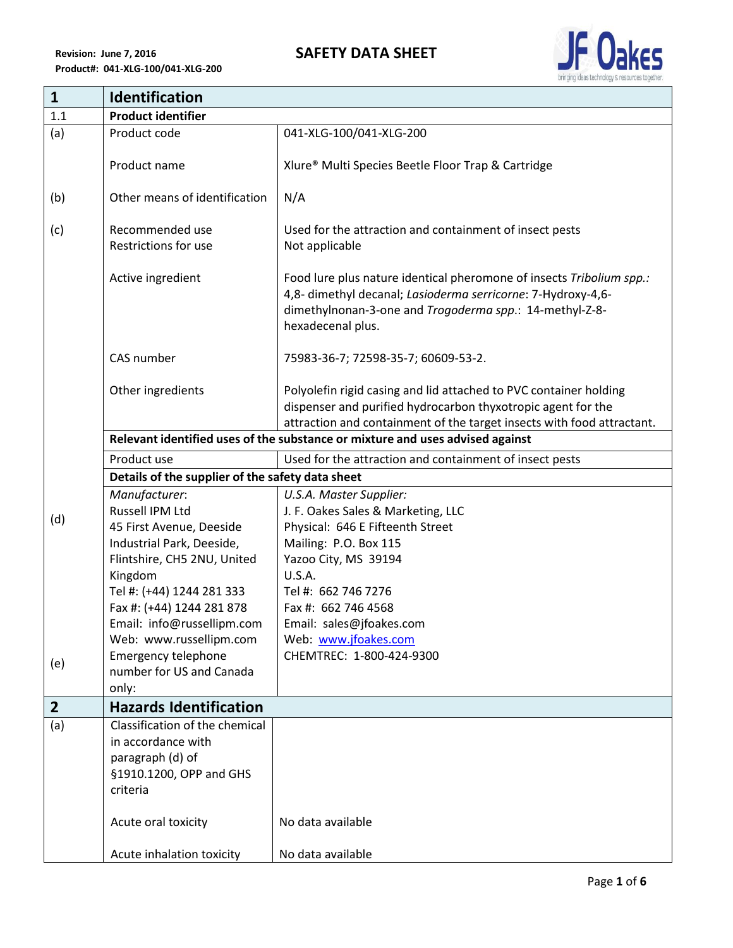

| $\mathbf{1}$   | <b>Identification</b>                                                         |                                                                                                                                                                                                                      |  |
|----------------|-------------------------------------------------------------------------------|----------------------------------------------------------------------------------------------------------------------------------------------------------------------------------------------------------------------|--|
| 1.1            | <b>Product identifier</b>                                                     |                                                                                                                                                                                                                      |  |
| (a)            | Product code                                                                  | 041-XLG-100/041-XLG-200                                                                                                                                                                                              |  |
|                | Product name                                                                  | Xlure® Multi Species Beetle Floor Trap & Cartridge                                                                                                                                                                   |  |
| (b)            | Other means of identification                                                 | N/A                                                                                                                                                                                                                  |  |
| (c)            | Recommended use<br>Restrictions for use                                       | Used for the attraction and containment of insect pests<br>Not applicable                                                                                                                                            |  |
|                | Active ingredient                                                             | Food lure plus nature identical pheromone of insects Tribolium spp.:<br>4,8- dimethyl decanal; Lasioderma serricorne: 7-Hydroxy-4,6-<br>dimethylnonan-3-one and Trogoderma spp.: 14-methyl-Z-8-<br>hexadecenal plus. |  |
|                | CAS number                                                                    | 75983-36-7; 72598-35-7; 60609-53-2.                                                                                                                                                                                  |  |
|                | Other ingredients                                                             | Polyolefin rigid casing and lid attached to PVC container holding<br>dispenser and purified hydrocarbon thyxotropic agent for the<br>attraction and containment of the target insects with food attractant.          |  |
|                | Relevant identified uses of the substance or mixture and uses advised against |                                                                                                                                                                                                                      |  |
|                | Product use                                                                   | Used for the attraction and containment of insect pests                                                                                                                                                              |  |
|                | Details of the supplier of the safety data sheet                              |                                                                                                                                                                                                                      |  |
|                | Manufacturer:                                                                 | U.S.A. Master Supplier:                                                                                                                                                                                              |  |
| (d)            | Russell IPM Ltd                                                               | J. F. Oakes Sales & Marketing, LLC                                                                                                                                                                                   |  |
|                | 45 First Avenue, Deeside                                                      | Physical: 646 E Fifteenth Street                                                                                                                                                                                     |  |
|                | Industrial Park, Deeside,                                                     | Mailing: P.O. Box 115                                                                                                                                                                                                |  |
|                | Flintshire, CH5 2NU, United                                                   | Yazoo City, MS 39194                                                                                                                                                                                                 |  |
|                | Kingdom<br>Tel #: (+44) 1244 281 333                                          | U.S.A.<br>Tel #: 662 746 7276                                                                                                                                                                                        |  |
|                | Fax #: (+44) 1244 281 878                                                     | Fax #: 662 746 4568                                                                                                                                                                                                  |  |
|                | Email: info@russellipm.com                                                    | Email: sales@jfoakes.com                                                                                                                                                                                             |  |
|                | Web: www.russellipm.com                                                       | Web: www.jfoakes.com                                                                                                                                                                                                 |  |
|                | <b>Emergency telephone</b>                                                    | CHEMTREC: 1-800-424-9300                                                                                                                                                                                             |  |
| (e)            | number for US and Canada                                                      |                                                                                                                                                                                                                      |  |
|                | only:                                                                         |                                                                                                                                                                                                                      |  |
| $\overline{2}$ | <b>Hazards Identification</b>                                                 |                                                                                                                                                                                                                      |  |
| (a)            | Classification of the chemical                                                |                                                                                                                                                                                                                      |  |
|                | in accordance with                                                            |                                                                                                                                                                                                                      |  |
|                | paragraph (d) of                                                              |                                                                                                                                                                                                                      |  |
|                | §1910.1200, OPP and GHS<br>criteria                                           |                                                                                                                                                                                                                      |  |
|                |                                                                               |                                                                                                                                                                                                                      |  |
|                | Acute oral toxicity                                                           | No data available                                                                                                                                                                                                    |  |
|                | Acute inhalation toxicity                                                     | No data available                                                                                                                                                                                                    |  |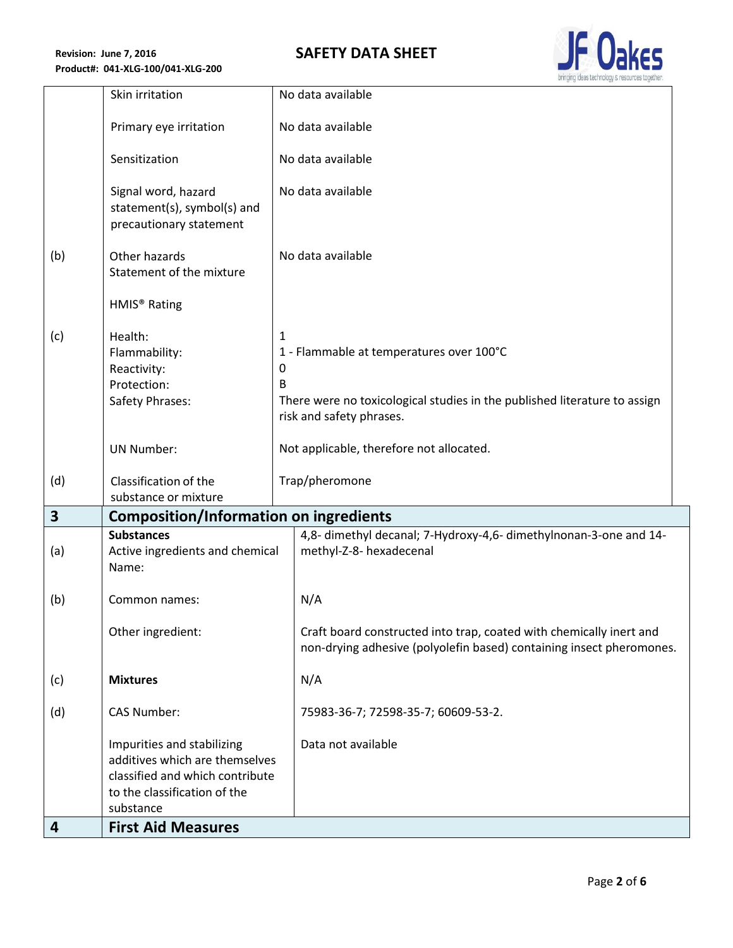## **SAFETY DATA SHEET**



|                         | Skin irritation                                                                                                                              | No data available                                                                                                                                                                                |
|-------------------------|----------------------------------------------------------------------------------------------------------------------------------------------|--------------------------------------------------------------------------------------------------------------------------------------------------------------------------------------------------|
|                         | Primary eye irritation                                                                                                                       | No data available                                                                                                                                                                                |
|                         | Sensitization                                                                                                                                | No data available                                                                                                                                                                                |
|                         | Signal word, hazard<br>statement(s), symbol(s) and<br>precautionary statement                                                                | No data available                                                                                                                                                                                |
| (b)                     | Other hazards<br>Statement of the mixture                                                                                                    | No data available                                                                                                                                                                                |
|                         | HMIS <sup>®</sup> Rating                                                                                                                     |                                                                                                                                                                                                  |
| (c)                     | Health:<br>Flammability:<br>Reactivity:<br>Protection:<br>Safety Phrases:                                                                    | $\mathbf{1}$<br>1 - Flammable at temperatures over 100°C<br>$\mathbf 0$<br><sub>B</sub><br>There were no toxicological studies in the published literature to assign<br>risk and safety phrases. |
|                         | <b>UN Number:</b>                                                                                                                            | Not applicable, therefore not allocated.                                                                                                                                                         |
| (d)                     | Classification of the<br>substance or mixture                                                                                                | Trap/pheromone                                                                                                                                                                                   |
| $\overline{\mathbf{3}}$ | <b>Composition/Information on ingredients</b>                                                                                                |                                                                                                                                                                                                  |
| (a)                     | <b>Substances</b><br>Active ingredients and chemical<br>Name:                                                                                | 4,8- dimethyl decanal; 7-Hydroxy-4,6- dimethylnonan-3-one and 14-<br>methyl-Z-8- hexadecenal                                                                                                     |
| (b)                     | Common names:                                                                                                                                | N/A                                                                                                                                                                                              |
|                         | Other ingredient:                                                                                                                            | Craft board constructed into trap, coated with chemically inert and<br>non-drying adhesive (polyolefin based) containing insect pheromones.                                                      |
| (c)                     | <b>Mixtures</b>                                                                                                                              | N/A                                                                                                                                                                                              |
| (d)                     | <b>CAS Number:</b>                                                                                                                           | 75983-36-7; 72598-35-7; 60609-53-2.                                                                                                                                                              |
|                         | Impurities and stabilizing<br>additives which are themselves<br>classified and which contribute<br>to the classification of the<br>substance | Data not available                                                                                                                                                                               |
| 4                       | <b>First Aid Measures</b>                                                                                                                    |                                                                                                                                                                                                  |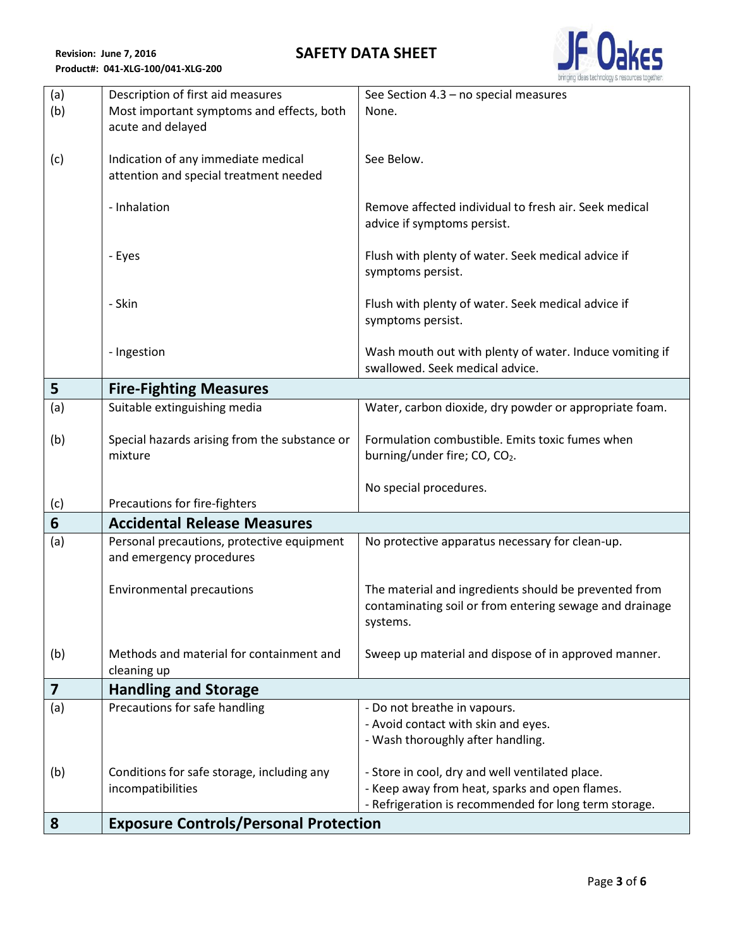**SAFETY DATA SHEET**



| (a) | Description of first aid measures                                             | See Section 4.3 - no special measures                   |
|-----|-------------------------------------------------------------------------------|---------------------------------------------------------|
| (b) | Most important symptoms and effects, both                                     | None.                                                   |
|     | acute and delayed                                                             |                                                         |
|     |                                                                               | See Below.                                              |
| (c) | Indication of any immediate medical<br>attention and special treatment needed |                                                         |
|     |                                                                               |                                                         |
|     | - Inhalation                                                                  | Remove affected individual to fresh air. Seek medical   |
|     |                                                                               | advice if symptoms persist.                             |
|     |                                                                               |                                                         |
|     | - Eyes                                                                        | Flush with plenty of water. Seek medical advice if      |
|     |                                                                               | symptoms persist.                                       |
|     | - Skin                                                                        | Flush with plenty of water. Seek medical advice if      |
|     |                                                                               | symptoms persist.                                       |
|     |                                                                               |                                                         |
|     | - Ingestion                                                                   | Wash mouth out with plenty of water. Induce vomiting if |
|     |                                                                               | swallowed. Seek medical advice.                         |
| 5   | <b>Fire-Fighting Measures</b>                                                 |                                                         |
| (a) | Suitable extinguishing media                                                  | Water, carbon dioxide, dry powder or appropriate foam.  |
| (b) | Special hazards arising from the substance or                                 | Formulation combustible. Emits toxic fumes when         |
|     | mixture                                                                       | burning/under fire; CO, CO <sub>2</sub> .               |
|     |                                                                               |                                                         |
|     |                                                                               | No special procedures.                                  |
| (c) | Precautions for fire-fighters                                                 |                                                         |
| 6   | <b>Accidental Release Measures</b>                                            |                                                         |
| (a) | Personal precautions, protective equipment                                    | No protective apparatus necessary for clean-up.         |
|     | and emergency procedures                                                      |                                                         |
|     | <b>Environmental precautions</b>                                              | The material and ingredients should be prevented from   |
|     |                                                                               | contaminating soil or from entering sewage and drainage |
|     |                                                                               | systems.                                                |
|     |                                                                               |                                                         |
| (b) | Methods and material for containment and                                      | Sweep up material and dispose of in approved manner.    |
|     | cleaning up                                                                   |                                                         |
| 7   | <b>Handling and Storage</b>                                                   |                                                         |
| (a) | Precautions for safe handling                                                 | - Do not breathe in vapours.                            |
|     |                                                                               | - Avoid contact with skin and eyes.                     |
|     |                                                                               | - Wash thoroughly after handling.                       |
| (b) | Conditions for safe storage, including any                                    | - Store in cool, dry and well ventilated place.         |
|     | incompatibilities                                                             | - Keep away from heat, sparks and open flames.          |
|     |                                                                               | - Refrigeration is recommended for long term storage.   |
| 8   | <b>Exposure Controls/Personal Protection</b>                                  |                                                         |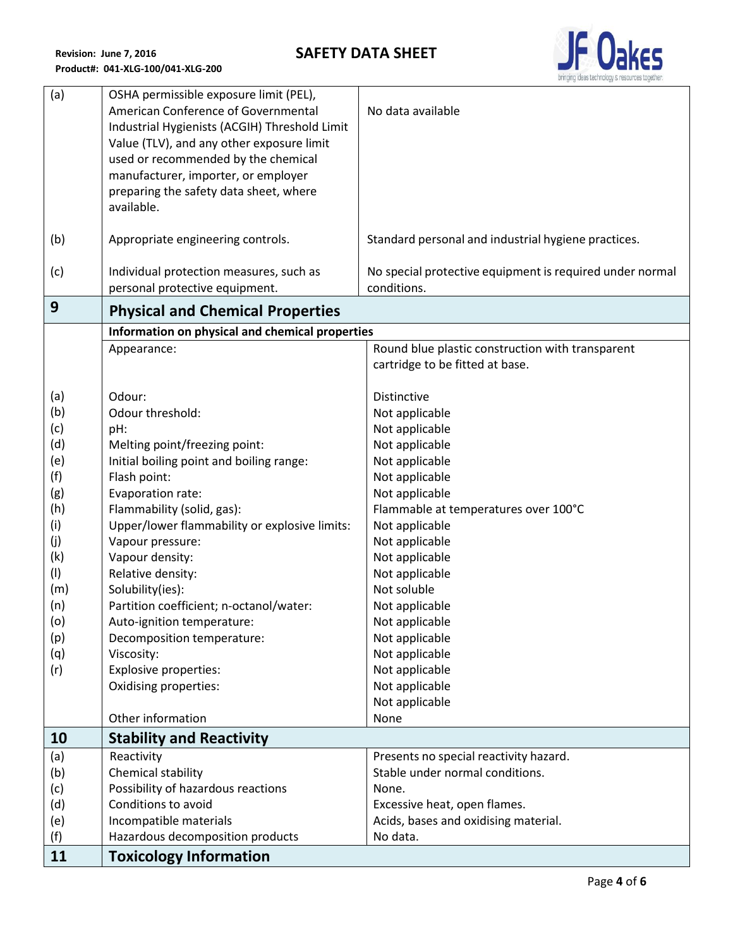

| (a)        | OSHA permissible exposure limit (PEL),<br>American Conference of Governmental<br>Industrial Hygienists (ACGIH) Threshold Limit<br>Value (TLV), and any other exposure limit<br>used or recommended by the chemical<br>manufacturer, importer, or employer<br>preparing the safety data sheet, where<br>available. | No data available                                                       |  |
|------------|-------------------------------------------------------------------------------------------------------------------------------------------------------------------------------------------------------------------------------------------------------------------------------------------------------------------|-------------------------------------------------------------------------|--|
| (b)        | Appropriate engineering controls.                                                                                                                                                                                                                                                                                 | Standard personal and industrial hygiene practices.                     |  |
| (c)        | Individual protection measures, such as<br>personal protective equipment.                                                                                                                                                                                                                                         | No special protective equipment is required under normal<br>conditions. |  |
| 9          | <b>Physical and Chemical Properties</b>                                                                                                                                                                                                                                                                           |                                                                         |  |
|            | Information on physical and chemical properties                                                                                                                                                                                                                                                                   |                                                                         |  |
|            | Appearance:                                                                                                                                                                                                                                                                                                       | Round blue plastic construction with transparent                        |  |
|            |                                                                                                                                                                                                                                                                                                                   | cartridge to be fitted at base.                                         |  |
| (a)        | Odour:                                                                                                                                                                                                                                                                                                            | Distinctive                                                             |  |
| (b)        | Odour threshold:                                                                                                                                                                                                                                                                                                  | Not applicable                                                          |  |
| (c)        | pH:                                                                                                                                                                                                                                                                                                               | Not applicable                                                          |  |
| (d)        | Melting point/freezing point:                                                                                                                                                                                                                                                                                     | Not applicable                                                          |  |
| (e)        | Initial boiling point and boiling range:                                                                                                                                                                                                                                                                          | Not applicable                                                          |  |
| (f)        | Flash point:                                                                                                                                                                                                                                                                                                      | Not applicable                                                          |  |
| (g)        | Evaporation rate:                                                                                                                                                                                                                                                                                                 | Not applicable                                                          |  |
| (h)        | Flammability (solid, gas):                                                                                                                                                                                                                                                                                        | Flammable at temperatures over 100°C                                    |  |
| (i)        | Upper/lower flammability or explosive limits:                                                                                                                                                                                                                                                                     | Not applicable                                                          |  |
| (j)        | Vapour pressure:                                                                                                                                                                                                                                                                                                  | Not applicable                                                          |  |
| (k)        | Vapour density:                                                                                                                                                                                                                                                                                                   | Not applicable                                                          |  |
| (1)        | Relative density:                                                                                                                                                                                                                                                                                                 | Not applicable                                                          |  |
| (m)        | Solubility(ies):                                                                                                                                                                                                                                                                                                  | Not soluble                                                             |  |
| (n)        | Partition coefficient; n-octanol/water:                                                                                                                                                                                                                                                                           | Not applicable                                                          |  |
| (o)        | Auto-ignition temperature:                                                                                                                                                                                                                                                                                        | Not applicable                                                          |  |
| (p)        | Decomposition temperature:                                                                                                                                                                                                                                                                                        | Not applicable                                                          |  |
| (q)<br>(r) | Viscosity:<br><b>Explosive properties:</b>                                                                                                                                                                                                                                                                        | Not applicable<br>Not applicable                                        |  |
|            | <b>Oxidising properties:</b>                                                                                                                                                                                                                                                                                      | Not applicable                                                          |  |
|            |                                                                                                                                                                                                                                                                                                                   | Not applicable                                                          |  |
|            | Other information                                                                                                                                                                                                                                                                                                 | None                                                                    |  |
| 10         | <b>Stability and Reactivity</b>                                                                                                                                                                                                                                                                                   |                                                                         |  |
| (a)        | Reactivity                                                                                                                                                                                                                                                                                                        | Presents no special reactivity hazard.                                  |  |
| (b)        | Chemical stability                                                                                                                                                                                                                                                                                                | Stable under normal conditions.                                         |  |
| (c)        | Possibility of hazardous reactions                                                                                                                                                                                                                                                                                | None.                                                                   |  |
| (d)        | Conditions to avoid                                                                                                                                                                                                                                                                                               | Excessive heat, open flames.                                            |  |
| (e)        | Incompatible materials                                                                                                                                                                                                                                                                                            | Acids, bases and oxidising material.                                    |  |
| (f)        | Hazardous decomposition products                                                                                                                                                                                                                                                                                  | No data.                                                                |  |
| 11         | <b>Toxicology Information</b>                                                                                                                                                                                                                                                                                     |                                                                         |  |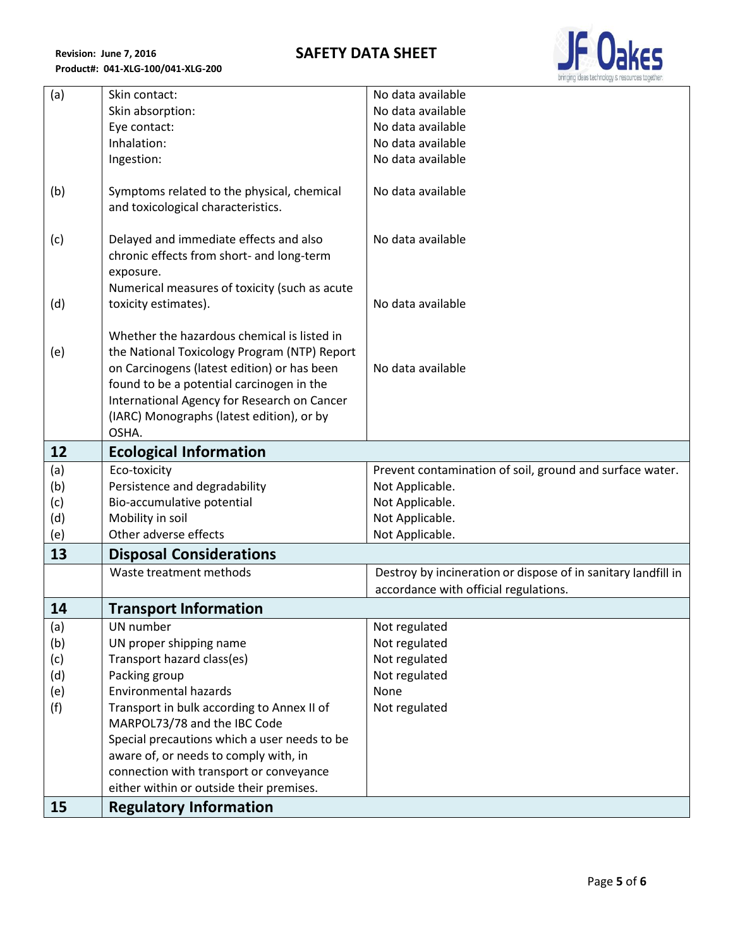

| (a) | Skin contact:                                                                                                                                                                                                                                                                                | No data available                                             |
|-----|----------------------------------------------------------------------------------------------------------------------------------------------------------------------------------------------------------------------------------------------------------------------------------------------|---------------------------------------------------------------|
|     | Skin absorption:                                                                                                                                                                                                                                                                             | No data available                                             |
|     | Eye contact:                                                                                                                                                                                                                                                                                 | No data available                                             |
|     | Inhalation:                                                                                                                                                                                                                                                                                  | No data available                                             |
|     | Ingestion:                                                                                                                                                                                                                                                                                   | No data available                                             |
| (b) | Symptoms related to the physical, chemical<br>and toxicological characteristics.                                                                                                                                                                                                             | No data available                                             |
| (c) | Delayed and immediate effects and also<br>chronic effects from short- and long-term<br>exposure.                                                                                                                                                                                             | No data available                                             |
|     | Numerical measures of toxicity (such as acute                                                                                                                                                                                                                                                |                                                               |
| (d) | toxicity estimates).                                                                                                                                                                                                                                                                         | No data available                                             |
| (e) | Whether the hazardous chemical is listed in<br>the National Toxicology Program (NTP) Report<br>on Carcinogens (latest edition) or has been<br>found to be a potential carcinogen in the<br>International Agency for Research on Cancer<br>(IARC) Monographs (latest edition), or by<br>OSHA. | No data available                                             |
| 12  | <b>Ecological Information</b>                                                                                                                                                                                                                                                                |                                                               |
| (a) | Eco-toxicity                                                                                                                                                                                                                                                                                 | Prevent contamination of soil, ground and surface water.      |
| (b) | Persistence and degradability                                                                                                                                                                                                                                                                | Not Applicable.                                               |
| (c) | Bio-accumulative potential                                                                                                                                                                                                                                                                   | Not Applicable.                                               |
| (d) | Mobility in soil                                                                                                                                                                                                                                                                             | Not Applicable.                                               |
| (e) | Other adverse effects                                                                                                                                                                                                                                                                        | Not Applicable.                                               |
| 13  | <b>Disposal Considerations</b>                                                                                                                                                                                                                                                               |                                                               |
|     | Waste treatment methods                                                                                                                                                                                                                                                                      | Destroy by incineration or dispose of in sanitary landfill in |
|     |                                                                                                                                                                                                                                                                                              | accordance with official regulations.                         |
| 14  | <b>Transport Information</b>                                                                                                                                                                                                                                                                 |                                                               |
| (a) | UN number                                                                                                                                                                                                                                                                                    | Not regulated                                                 |
| (b) | UN proper shipping name                                                                                                                                                                                                                                                                      | Not regulated                                                 |
| (c) | Transport hazard class(es)                                                                                                                                                                                                                                                                   | Not regulated                                                 |
| (d) | Packing group                                                                                                                                                                                                                                                                                | Not regulated                                                 |
| (e) | <b>Environmental hazards</b>                                                                                                                                                                                                                                                                 | None                                                          |
| (f) | Transport in bulk according to Annex II of<br>MARPOL73/78 and the IBC Code                                                                                                                                                                                                                   | Not regulated                                                 |
|     | Special precautions which a user needs to be                                                                                                                                                                                                                                                 |                                                               |
|     | aware of, or needs to comply with, in                                                                                                                                                                                                                                                        |                                                               |
|     | connection with transport or conveyance                                                                                                                                                                                                                                                      |                                                               |
|     | either within or outside their premises.                                                                                                                                                                                                                                                     |                                                               |
| 15  | <b>Regulatory Information</b>                                                                                                                                                                                                                                                                |                                                               |